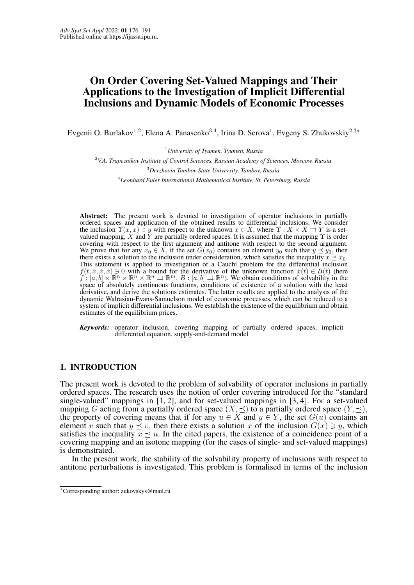# <span id="page-0-0"></span>On Order Covering Set-Valued Mappings and Their Applications to the Investigation of Implicit Differential Inclusions and Dynamic Models of Economic Processes

Evgenii O. Burlakov<sup>1,2</sup>, Elena A. Panasenko<sup>3,4</sup>, Irina D. Serova<sup>1</sup>, Evgeny S. Zhukovskiy<sup>2,3\*</sup>

<sup>1</sup>*University of Tyumen, Tyumen, Russia*

<sup>2</sup>*V.A. Trapeznikov Institute of Control Sciences, Russian Academy of Sciences, Moscow, Russia* <sup>3</sup>*Derzhavin Tambov State University, Tambov, Russia* 4 *Leonhard Euler International Mathematical Institute, St. Petersburg, Russia*

Abstract: The present work is devoted to investigation of operator inclusions in partially ordered spaces and application of the obtained results to differential inclusions. We consider the inclusion  $\Upsilon(x, x) \ni y$  with respect to the unknown  $x \in X$ , where  $\Upsilon : X \times X \rightrightarrows Y$  is a setvalued mapping, X and Y are partially ordered spaces. It is assumed that the mapping  $\Upsilon$  is order covering with respect to the first argument and antitone with respect to the second argument. We prove that for any  $x_0 \in X$ , if the set  $G(x_0)$  contains an element  $y_0$  such that  $y \leq y_0$ , then there exists a solution to the inclusion under consideration, which satisfies the inequality  $x \prec x_0$ . This statement is applied to investigation of a Cauchi problem for the differential inclusion  $f(t, x, \dot{x}, \dot{x})$  ∋ 0 with a bound for the derivative of the unknown function  $\dot{x}(t) \in B(t)$  (here  $f : [a, b] \times \mathbb{R}^n \times \mathbb{R}^n \times \mathbb{R}^n \Rightarrow \mathbb{R}^m$ ,  $B : [a, b] \Rightarrow \mathbb{R}^n$ ). We obtain conditions of solvability in the space of absolutely continuous functions, conditions of existence of a solution with the least derivative, and derive the solutions estimates. The latter results are applied to the analysis of the dynamic Walrasian-Evans-Samuelson model of economic processes, which can be reduced to a system of implicit differential inclusions. We establish the existence of the equilibrium and obtain estimates of the equilibrium prices.

*Keywords:* operator inclusion, covering mapping of partially ordered spaces, implicit differential equation, supply-and-demand model

# 1. INTRODUCTION

The present work is devoted to the problem of solvability of operator inclusions in partially ordered spaces. The research uses the notion of order covering introduced for the "standard single-valued" mappings in [\[1,](#page-13-1) [2\]](#page-14-0), and for set-valued mappings in [\[3,](#page-14-1) [4\]](#page-14-2). For a set-valued mapping G acting from a partially ordered space  $(X, \preceq)$  to a partially ordered space  $(Y, \preceq)$ , the property of covering means that if for any  $u \in X$  and  $y \in Y$ , the set  $G(u)$  contains an element v such that  $y \leq v$ , then there exists a solution x of the inclusion  $G(x) \ni y$ , which satisfies the inequality  $x \prec u$ . In the cited papers, the existence of a coincidence point of a covering mapping and an isotone mapping (for the cases of single- and set-valued mappings) is demonstrated.

In the present work, the stability of the solvability property of inclusions with respect to antitone perturbations is investigated. This problem is formalised in terms of the inclusion

<sup>∗</sup>Corresponding author: zukovskys@mail.ru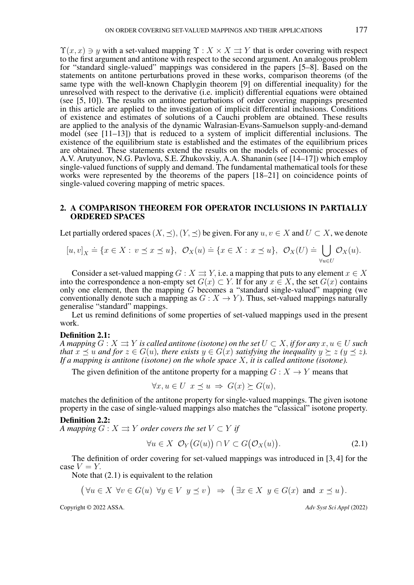$\Upsilon(x, x) \ni y$  with a set-valued mapping  $\Upsilon : X \times X \rightrightarrows Y$  that is order covering with respect to the first argument and antitone with respect to the second argument. An analogous problem for "standard single-valued" mappings was considered in the papers [\[5–](#page-14-3)[8\]](#page-14-4). Based on the statements on antitone perturbations proved in these works, comparison theorems (of the same type with the well-known Chaplygin theorem [\[9\]](#page-14-5) on differential inequality) for the unresolved with respect to the derivative (i.e. implicit) differential equations were obtained (see [\[5,](#page-14-3) [10\]](#page-14-6)). The results on antitone perturbations of order covering mappings presented in this article are applied to the investigation of implicit differential inclusions. Conditions of existence and estimates of solutions of a Cauchi problem are obtained. These results are applied to the analysis of the dynamic Walrasian-Evans-Samuelson supply-and-demand model (see [\[11](#page-14-7)[–13\]](#page-14-8)) that is reduced to a system of implicit differential inclusions. The existence of the equilibrium state is established and the estimates of the equilibrium prices are obtained. These statements extend the results on the models of economic processes of A.V. Arutyunov, N.G. Pavlova, S.E. Zhukovskiy, A.A. Shananin (see [\[14](#page-14-9)[–17\]](#page-14-10)) which employ single-valued functions of supply and demand. The fundamental mathematical tools for these works were represented by the theorems of the papers [\[18](#page-14-11)[–21\]](#page-14-12) on coincidence points of single-valued covering mapping of metric spaces.

## 2. A COMPARISON THEOREM FOR OPERATOR INCLUSIONS IN PARTIALLY ORDERED SPACES

Let partially ordered spaces  $(X, \prec)$ ,  $(Y, \prec)$  be given. For any  $u, v \in X$  and  $U \subset X$ , we denote

$$
[u, v]_X \doteq \{x \in X : v \preceq x \preceq u\}, \ \ \mathcal{O}_X(u) \doteq \{x \in X : x \preceq u\}, \ \ \mathcal{O}_X(U) \doteq \bigcup_{\forall u \in U} \mathcal{O}_X(u).
$$

Consider a set-valued mapping  $G : X \rightrightarrows Y$ , i.e. a mapping that puts to any element  $x \in X$ into the correspondence a non-empty set  $G(x) \subset Y$ . If for any  $x \in X$ , the set  $G(x)$  contains only one element, then the mapping G becomes a "standard single-valued" mapping (we conventionally denote such a mapping as  $G : X \to Y$ ). Thus, set-valued mappings naturally generalise "standard" mappings.

Let us remind definitions of some properties of set-valued mappings used in the present work.

#### Definition 2.1:

*A mapping*  $G: X \rightrightarrows Y$  *is called antitone (isotone) on the set*  $U \subset X$ , *if for any*  $x, u \in U$  *such that*  $x \preceq u$  *and for*  $z \in G(u)$ *, there exists*  $y \in G(x)$  *satisfying the inequality*  $y \succeq z$  ( $y \preceq z$ ). *If a mapping is antitone (isotone) on the whole space* X*, it is called antitone (isotone).*

The given definition of the antitone property for a mapping  $G : X \to Y$  means that

 $\forall x, u \in U \ x \prec u \Rightarrow G(x) \succ G(u),$ 

matches the definition of the antitone property for single-valued mappings. The given isotone property in the case of single-valued mappings also matches the "classical" isotone property.

#### Definition 2.2:

*A mapping*  $G: X \rightrightarrows Y$  *order covers the set*  $V \subset Y$  *if* 

<span id="page-1-0"></span>
$$
\forall u \in X \ \mathcal{O}_Y(G(u)) \cap V \subset G(\mathcal{O}_X(u)). \tag{2.1}
$$

The definition of order covering for set-valued mappings was introduced in [\[3,](#page-14-1) [4\]](#page-14-2) for the case  $V = Y$ .

Note that [\(2.1\)](#page-1-0) is equivalent to the relation

$$
(\forall u \in X \ \forall v \in G(u) \ \forall y \in V \ y \preceq v) \ \Rightarrow \ (\exists x \in X \ y \in G(x) \ \text{and} \ x \preceq u).
$$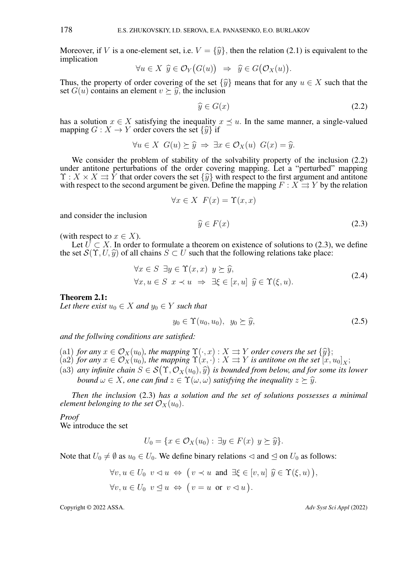Moreover, if V is a one-element set, i.e.  $V = {\hat{y}}$ , then the relation [\(2.1\)](#page-1-0) is equivalent to the implication

$$
\forall u \in X \ \widehat{y} \in \mathcal{O}_Y(G(u)) \ \Rightarrow \ \widehat{y} \in G(\mathcal{O}_X(u)).
$$

Thus, the property of order covering of the set  $\{\hat{y}\}\$  means that for any  $u \in X$  such that the set  $G(u)$  contains an element  $v \succeq \hat{y}$ , the inclusion

<span id="page-2-0"></span>
$$
\widehat{y} \in G(x) \tag{2.2}
$$

has a solution  $x \in X$  satisfying the inequality  $x \preceq u$ . In the same manner, a single-valued mapping  $G : X \to Y$  order covers the set  $\{\widehat{y}\}\$ if

$$
\forall u \in X \ \ G(u) \succeq \hat{y} \ \Rightarrow \ \exists x \in \mathcal{O}_X(u) \ \ G(x) = \hat{y}.
$$

We consider the problem of stability of the solvability property of the inclusion  $(2.2)$ under antitone perturbations of the order covering mapping. Let a "perturbed" mapping  $\Upsilon: X \times X \rightrightarrows Y$  that order covers the set  $\{\hat{y}\}$  with respect to the first argument and antitone with respect to the second argument be given. Define the mapping  $F: X \rightrightarrows Y$  by the relation with respect to the second argument be given. Define the mapping  $F : X \rightrightarrows Y$  by the relation

$$
\forall x \in X \ F(x) = \Upsilon(x, x)
$$

and consider the inclusion

<span id="page-2-1"></span>
$$
\widehat{y} \in F(x) \tag{2.3}
$$

(with respect to  $x \in X$ ).

Let  $\bar{U} \subset X$ . In order to formulate a theorem on existence of solutions to [\(2.3\)](#page-2-1), we define the set  $\mathcal{S}(\Upsilon, U, \hat{y})$  of all chains  $S \subset U$  such that the following relations take place:

<span id="page-2-3"></span>
$$
\forall x \in S \; \exists y \in \Upsilon(x, x) \; y \succeq \hat{y}, \n\forall x, u \in S \; x \prec u \implies \exists \xi \in [x, u] \; \hat{y} \in \Upsilon(\xi, u).
$$
\n(2.4)

<span id="page-2-2"></span>Theorem 2.1:

*Let there exist*  $u_0 \in X$  *and*  $y_0 \in Y$  *such that* 

<span id="page-2-4"></span>
$$
y_0 \in \Upsilon(u_0, u_0), \ \ y_0 \succeq \widehat{y}, \tag{2.5}
$$

*and the follwing conditions are satisfied:*

- 
- (a1) *for any*  $x \in \mathcal{O}_X(u_0)$ , the mapping  $\Upsilon(\cdot, x) : X \rightrightarrows Y$  *order covers the set*  $\{\hat{y}\};$ <br>(a2) *for any*  $x \in \mathcal{O}_X(u_0)$ , the mapping  $\Upsilon(x, \cdot) : X \rightrightarrows Y$  *is antitone on the set*  $[x, u_0]_X$ ;
- (a3) *any infinite chain*  $S \in \mathcal{S}(\Upsilon, \mathcal{O}_X(u_0), \hat{y})$  *is bounded from below, and for some its lower*<br>bound  $\omega \in X$  are can find  $z \in \Upsilon(\omega, \omega)$  satisfying the inequality  $z \geq \hat{y}$ . *bound*  $\omega \in X$ , one can find  $z \in \Upsilon(\omega, \omega)$  satisfying the inequality  $z \succ \hat{y}$ .

*Then the inclusion* [\(2.3\)](#page-2-1) *has a solution and the set of solutions possesses a minimal element belonging to the set*  $\mathcal{O}_X(u_0)$ .

*Proof* We introduce the set

$$
\mathcal{L} = \mathcal{L} \times \mathcal{L} = \mathcal{L} \times \mathcal{L} = \mathcal{L} \times \mathcal{L}
$$

$$
U_0 = \{ x \in \mathcal{O}_X(u_0) : \exists y \in F(x) \ y \succeq \widehat{y} \}.
$$

Note that  $U_0 \neq \emptyset$  as  $u_0 \in U_0$ . We define binary relations  $\triangleleft$  and  $\trianglelefteq$  on  $U_0$  as follows:

$$
\forall v, u \in U_0 \ v \lhd u \Leftrightarrow \big( v \prec u \text{ and } \exists \xi \in [v, u] \ \hat{y} \in \Upsilon(\xi, u) \big),
$$
  

$$
\forall v, u \in U_0 \ v \leq u \Leftrightarrow \big( v = u \text{ or } v \lhd u \big).
$$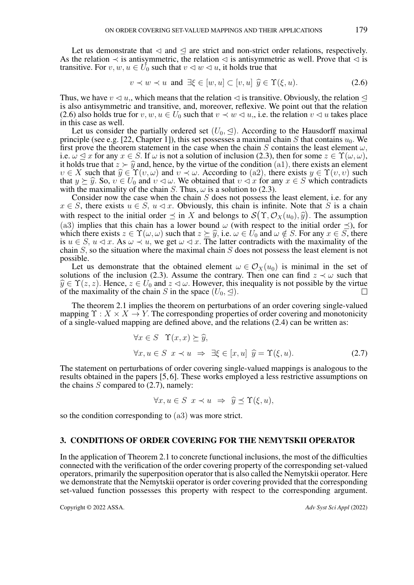Let us demonstrate that  $\triangleleft$  and  $\trianglelefteq$  are strict and non-strict order relations, respectively. As the relation  $\prec$  is antisymmetric, the relation  $\lhd$  is antisymmetric as well. Prove that  $\lhd$  is transitive. For  $v, w, u \in U_0$  such that  $v \lhd w \lhd u$ , it holds true that

<span id="page-3-0"></span>
$$
v \prec w \prec u \text{ and } \exists \xi \in [w, u] \subset [v, u] \widehat{y} \in \Upsilon(\xi, u). \tag{2.6}
$$

Thus, we have  $v \triangleleft u$ , which means that the relation  $\triangleleft$  is transitive. Obviously, the relation  $\triangleleft$ is also antisymmetric and transitive, and, moreover, reflexive. We point out that the relation [\(2.6\)](#page-3-0) also holds true for v, w,  $u \in U_0$  such that  $v \prec w \lhd u$ , i.e. the relation  $v \lhd u$  takes place in this case as well.

Let us consider the partially ordered set  $(U_0, \leq)$ . According to the Hausdorff maximal principle (see e.g. [\[22,](#page-14-13) Chapter 1]), this set possesses a maximal chain S that contains  $u_0$ . We first prove the theorem statement in the case when the chain S contains the least element  $\omega$ , i.e.  $\omega \leq x$  for any  $x \in S$ . If  $\omega$  is not a solution of inclusion [\(2.3\)](#page-2-1), then for some  $z \in \Upsilon(\omega, \omega)$ , it holds true that  $z \succ \hat{y}$  and, hence, by the virtue of the condition (a1), there exists an element  $v \in X$  such that  $\widehat{y} \in \Upsilon(v, \omega)$  and  $v \prec \omega$ . According to (a2), there exists  $y \in \Upsilon(v, v)$  such that  $y \succeq \hat{y}$ . So,  $v \in U_0$  and  $v \lhd \omega$ . We obtained that  $v \lhd x$  for any  $x \in S$  which contradicts with the maximality of the chain S. Thus,  $\omega$  is a solution to [\(2.3\)](#page-2-1).

Consider now the case when the chain  $S$  does not possess the least element, i.e. for any  $x \in S$ , there exists  $u \in S$ ,  $u \lhd x$ . Obviously, this chain is infinite. Note that S is a chain with respect to the initial order  $\preceq$  in X and belongs to  $\mathcal{S}(\Upsilon, \mathcal{O}_X(u_0), \hat{y})$ . The assumption  $(2, 3)$  implies that this chain has a lower bound  $\omega$  (with respect to the initial order  $\preceq$ ) for (a3) implies that this chain has a lower bound  $\omega$  (with respect to the initial order  $\prec$ ), for which there exists  $z \in \Upsilon(\omega, \omega)$  such that  $z \succeq \hat{y}$ , i.e.  $\omega \in U_0$  and  $\omega \notin S$ . For any  $x \in S$ , there is  $u \in S$ ,  $u \lhd x$ . As  $\omega \prec u$ , we get  $\omega \lhd x$ . The latter contradicts with the maximality of the chain S, so the situation where the maximal chain S does not possess the least element is not possible.

Let us demonstrate that the obtained element  $\omega \in \mathcal{O}_X(u_0)$  is minimal in the set of solutions of the inclusion [\(2.3\)](#page-2-1). Assume the contrary. Then one can find  $z \prec \omega$  such that  $\hat{y} \in \hat{Y}(z, z)$ . Hence,  $z \in U_0$  and  $z \leq \omega$ . However, this inequality is not possible by the virtue of the maximality of the chain S in the space  $(U_0, \trianglelefteq)$ .

The theorem [2.1](#page-2-2) implies the theorem on perturbations of an order covering single-valued mapping  $\Upsilon : X \times X \to Y$ . The corresponding properties of order covering and monotonicity of a single-valued mapping are defined above, and the relations [\(2.4\)](#page-2-3) can be written as:

$$
\forall x \in S \quad \Upsilon(x, x) \succeq \hat{y},
$$
  

$$
\forall x, u \in S \quad x \prec u \implies \exists \xi \in [x, u] \quad \hat{y} = \Upsilon(\xi, u). \tag{2.7}
$$

The statement on perturbations of order covering single-valued mappings is analogous to the results obtained in the papers [\[5,](#page-14-3) [6\]](#page-14-14). These works employed a less restrictive assumptions on the chains  $S$  compared to  $(2.7)$ , namely:

 $\forall x, u \in S \; x \prec u \; \Rightarrow \; \hat{y} \prec \Upsilon(\xi, u),$ 

so the condition corresponding to (a3) was more strict.

#### 3. CONDITIONS OF ORDER COVERING FOR THE NEMYTSKII OPERATOR

In the application of Theorem [2.1](#page-2-2) to concrete functional inclusions, the most of the difficulties connected with the verification of the order covering property of the corresponding set-valued operators, primarily the superposition operator that is also called the Nemytskii operator. Here we demonstrate that the Nemytskii operator is order covering provided that the corresponding set-valued function possesses this property with respect to the corresponding argument.

<span id="page-3-1"></span>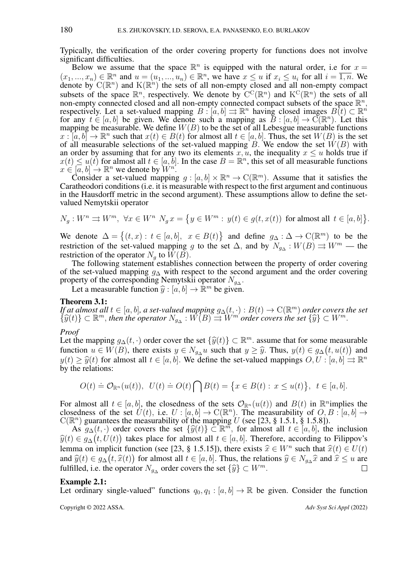Typically, the verification of the order covering property for functions does not involve significant difficulties.

Below we assume that the space  $\mathbb{R}^n$  is equipped with the natural order, i.e for  $x =$  $(x_1, ..., x_n) \in \mathbb{R}^n$  and  $u = (u_1, ..., u_n) \in \mathbb{R}^n$ , we have  $x \leq u$  if  $x_i \leq u_i$  for all  $i = \overline{1, n}$ . We denote by  $C(\mathbb{R}^n)$  and  $K(\mathbb{R}^n)$  the sets of all non-empty closed and all non-empty compact subsets of the space  $\mathbb{R}^n$ , respectively. We denote by  $C^C(\mathbb{R}^n)$  and  $K^C(\mathbb{R}^n)$  the sets of all non-empty connected closed and all non-empty connected compact subsets of the space  $\mathbb{R}^n$ , respectively. Let a set-valued mapping  $B: [a, b] \rightrightarrows \mathbb{R}^n$  having closed images  $B(t) \subset \mathbb{R}^n$ for any  $t \in [a, b]$  be given. We denote such a mapping as  $B : [a, b] \to C(\mathbb{R}^n)$ . Let this mapping be measurable. We define  $W(B)$  to be the set of all Lebesgue measurable functions  $x : [a, b] \to \mathbb{R}^n$  such that  $x(t) \in B(t)$  for almost all  $t \in [a, b]$ . Thus, the set  $W(B)$  is the set of all measurable selections of the set-valued mapping B. We endow the set  $W(B)$  with an order by assuming that for any two its elements  $x, u$ , the inequality  $x \leq u$  holds true if  $x(t) \le u(t)$  for almost all  $t \in [a, b]$ . In the case  $B = \mathbb{R}^n$ , this set of all measurable functions  $x \in [a, b] \to \mathbb{R}^n$  we denote by  $W^n$ .

Consider a set-valued mapping  $g : [a, b] \times \mathbb{R}^n \to \mathbb{C}(\mathbb{R}^m)$ . Assume that it satisfies the Caratheodori conditions (i.e. it is measurable with respect to the first argument and continuous in the Hausdorff metric in the second argument). These assumptions allow to define the setvalued Nemytskii operator

$$
N_g:W^n\rightrightarrows W^m,\ \forall x\in W^n\ \ N_g\,x=\big\{y\in W^m:\ y(t)\in g(t,x(t))\ \ \text{for almost all}\ \ t\in [a,b]\big\}.
$$

We denote  $\Delta = \{(t, x) : t \in [a, b], x \in B(t)\}\$  and define  $g_{\Delta} : \Delta \to \mathbb{C}(\mathbb{R}^m)$  to be the restriction of the set-valued mapping g to the set  $\Delta$ , and by  $N_{g\Delta}: W(B) \rightrightarrows W^m$  — the restriction of the operator  $N_q$  to  $W(B)$ .

The following statement establishes connection between the property of order covering of the set-valued mapping  $g_{\Delta}$  with respect to the second argument and the order covering property of the corresponding Nemytskii operator  $N_{g\Delta}$ .

Let a measurable function  $\hat{y} : [a, b] \to \mathbb{R}^m$  be given.

## <span id="page-4-0"></span>Theorem 3.1:

*If at almost all*  $t \in [a, b]$ *, a set-valued mapping*  $g_\Delta(t, \cdot) : B(t) \to \mathrm{C}(\mathbb{R}^m)$  *order covers the set*  $\{\widehat{y}(t)\}\subset \mathbb{R}^m$ , then the operator  $N_{g_{\Delta}}: W(B)\rightrightarrows W^m$  order covers the set  $\{\widehat{y}\}\subset W^m$ .

#### *Proof*

Let the mapping  $g_{\Delta}(t, \cdot)$  order cover the set  $\{\widehat{y}(t)\}\subset \mathbb{R}^m$ . assume that for some measurable<br>function  $y \in W(R)$ , there exists  $y \in N$ ,  $y$  such that  $y > \widehat{y}$ . Thus,  $y(t) \in g_{\Delta}(t, y(t))$  and function  $u \in W(B)$ , there exists  $y \in N_{g\Delta}u$  such that  $y \geq \hat{y}$ . Thus,  $y(t) \in g_{\Delta}(t, u(t))$  and  $y(t) \geq \hat{y}(t)$  for almost all  $t \in [a, b]$ . We define the set-valued mannings  $\hat{O}(U : [a, b] \to \mathbb{R}^n)$  $y(t) \ge \hat{y}(t)$  for almost all  $t \in [a, b]$ . We define the set-valued mappings  $O, U : [a, b] \Rightarrow \mathbb{R}^n$ <br>by the relations: by the relations:

$$
O(t) \doteq \mathcal{O}_{\mathbb{R}^n}(u(t)), \ \ U(t) \doteq O(t) \bigcap B(t) = \big\{ x \in B(t) : \ x \le u(t) \big\}, \ \ t \in [a, b].
$$

For almost all  $t \in [a, b]$ , the closedness of the sets  $\mathcal{O}_{\mathbb{R}^n}(u(t))$  and  $B(t)$  in  $\mathbb{R}^n$ implies the closedness of the set  $U(t)$ , i.e.  $U : [a, b] \to \mathbb{C}(\mathbb{R}^n)$ . The measurability of  $O, B : [a, b] \to$  $C(\mathbb{R}^n)$  guarantees the measurability of the mapping U (see [\[23,](#page-14-15) § 1.5.1, § 1.5.8]).

As  $g_{\Delta}(t, \cdot)$  order covers the set  $\{\widehat{y}(t)\}\subset \mathbb{R}^m$ , for almost all  $t \in [a, b]$ , the inclusion  $\Delta \in \mathcal{A}$ ,  $(t, U(t))$  takes place for almost all  $t \in [a, b]$ . Therefore, according to Filippov's  $\widehat{y}(t) \in g_{\Delta}(t, U(t))$  takes place for almost all  $t \in [a, b]$ . Therefore, according to Filippov's<br>lamma on implicit function (see [23, 8, 1, 5, 151), there exists  $\widehat{x} \in W^n$  such that  $\widehat{x}(t) \in U(t)$ lemma on implicit function (see [\[23,](#page-14-15) § 1.5.15]), there exists  $\hat{x} \in W^n$  such that  $\hat{x}(t) \in U(t)$ <br>and  $\hat{y}(t) \in g_t$  (t  $\hat{x}(t)$ ) for almost all  $t \in [g, h]$ . Thus, the relations  $\hat{y} \in N$ ,  $\hat{x}$  and  $\hat{x} \leq y$  are and  $\hat{y}(t) \in g_{\Delta}(t, \hat{x}(t))$  for almost all  $t \in [a, b]$ . Thus, the relations  $\hat{y} \in N_{g_{\Delta}}\hat{x}$  and  $\hat{x} \le u$  are fulfilled i.e. the operator  $N$  order covers the set  $\hat{y} \in N_{g_{\Delta}}\hat{x}$  and  $\hat{x} \le u$  are fulfilled, i.e. the operator  $N_{g\Delta}$  order covers the set  $\{\widehat{y}\}\subset W^m$ .

#### Example 2.1:

Let ordinary single-valued" functions  $q_0, q_1 : [a, b] \to \mathbb{R}$  be given. Consider the function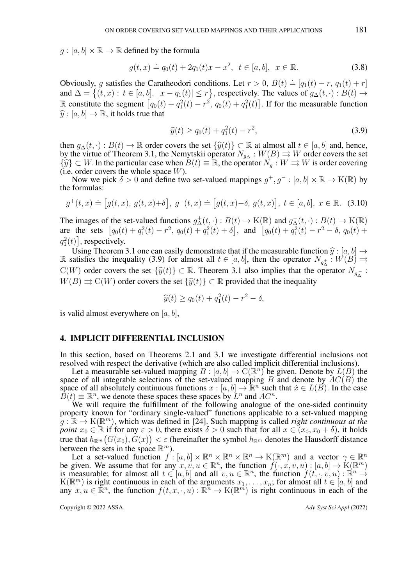$g : [a, b] \times \mathbb{R} \to \mathbb{R}$  defined by the formula

<span id="page-5-1"></span>
$$
g(t,x) \doteq q_0(t) + 2q_1(t)x - x^2, \ t \in [a, b], \ x \in \mathbb{R}.
$$
 (3.8)

Obviously, g satisfies the Caratheodori conditions. Let  $r > 0$ ,  $B(t) \doteq [q_1(t) - r, q_1(t) + r]$ and  $\Delta = \{(t, x): t \in [a, b], |x - q_1(t)| \le r\}$ , respectively. The values of  $g_{\Delta}(t, \cdot): B(t) \to$ R constitute the segment  $[q_0(t) + q_1^2(t) - r^2, q_0(t) + q_1^2(t)]$ . If for the measurable function  $\hat{y}: [a, b] \rightarrow \mathbb{R}$ , it holds true that

<span id="page-5-0"></span>
$$
\widehat{y}(t) \ge q_0(t) + q_1^2(t) - r^2,\tag{3.9}
$$

then  $g_{\Delta}(t, \cdot) : B(t) \to \mathbb{R}$  order covers the set  $\{\widehat{y}(t)\}\subset \mathbb{R}$  at almost all  $t \in [a, b]$  and, hence, by the virtue of Theorem [3.1,](#page-4-0) the Nemytskii operator  $N_{g\Delta}: W(B) \Rightarrow W$  order covers the set  $\{\widehat{y}\}\subset W$ . In the particular case when  $B(t)\equiv \mathbb{R}$ , the operator  $N_a:W \rightrightarrows W$  is order covering  $(i.e. order covers the whole space  $W$ ).$ 

Now we pick  $\delta > 0$  and define two set-valued mappings  $g^+, g^- : [a, b] \times \mathbb{R} \to K(\mathbb{R})$  by the formulas:

<span id="page-5-2"></span>
$$
g^+(t,x) \doteq [g(t,x), g(t,x)+\delta], g^-(t,x) \doteq [g(t,x)-\delta, g(t,x)], t \in [a,b], x \in \mathbb{R}.
$$
 (3.10)

The images of the set-valued functions  $g^+(x, \cdot) : B(t) \to K(\mathbb{R})$  and  $g^-_{\Delta}(t, \cdot) : B(t) \to K(\mathbb{R})$ are the sets  $[q_0(t) + q_1^2(t) - r^2, q_0(t) + q_1^2(t) + \delta],$  and  $[q_0(t) + q_1^2(t) - r^2 - \delta, q_0(t) + \delta]$  $q_1^2(t)$ , respectively.

Using Theorem [3.1](#page-4-0) one can easily demonstrate that if the measurable function  $\hat{y}$  :  $[a, b] \rightarrow$ R satisfies the inequality [\(3.9\)](#page-5-0) for almost all  $t \in [a, b]$ , then the operator  $N_{g_{\Delta}^+}: W(B) \implies W(B)$  $C(W)$  order covers the set  $\{\hat{y}(t)\}\subset \mathbb{R}$ . Theorem [3.1](#page-4-0) also implies that the operator  $N_{g_{\Delta}}$ :<br> $W(P) \rightarrow C(W)$  and a severate the set  $(S(t)) \subseteq \mathbb{R}$  are vided that the inconstitu  $W(B) \rightrightarrows C(W)$  order covers the set  $\{\widehat{y}(t)\}\subset \mathbb{R}$  provided that the inequality

$$
\widehat{y}(t) \ge q_0(t) + q_1^2(t) - r^2 - \delta,
$$

is valid almost everywhere on  $|a, b|$ ,

# 4. IMPLICIT DIFFERENTIAL INCLUSION

In this section, based on Theorems [2.1](#page-2-2) and [3.1](#page-4-0) we investigate differential inclusions not resolved with respect the derivative (which are also called implicit differential inclusions).

Let a measurable set-valued mapping  $B : [a, b] \to C(\mathbb{R}^n)$  be given. Denote by  $L(B)$  the space of all integrable selections of the set-valued mapping B and denote by  $AC(B)$  the space of all absolutely continuous functions  $x : [a, b] \to \mathbb{R}^n$  such that  $x \in L(B)$ . In the case  $\hat{B}(t) \equiv \mathbb{R}^n$ , we denote these spaces these spaces by  $L^n$  and  $AC^n$ .

We will require the fulfillment of the following analogue of the one-sided continuity property known for "ordinary single-valued" functions applicable to a set-valued mapping  $g : \mathbb{R} \to K(\mathbb{R}^m)$ , which was defined in [\[24\]](#page-15-0). Such mapping is called *right continuous at the point*  $x_0 \in \mathbb{R}$  if for any  $\varepsilon > 0$ , there exists  $\delta > 0$  such that for all  $x \in (x_0, x_0 + \delta)$ , it holds true that  $h_{{\mathbb R}^m}\big(G(x_0),G(x)\big)<\varepsilon$  (hereinafter the symbol  $h_{{\mathbb R}^m}$  denotes the Hausdorff distance between the sets in the space  $\mathbb{R}^m$ ).

Let a set-valued function  $f: [a, b] \times \mathbb{R}^n \times \mathbb{R}^n \times \mathbb{R}^n \to K(\mathbb{R}^m)$  and a vector  $\gamma \in \mathbb{R}^n$ be given. We assume that for any  $x, v, u \in \mathbb{R}^n$ , the function  $\hat{f}(\cdot, x, v, u) : [a, b] \to \hat{K}(\mathbb{R}^m)$ is measurable; for almost all  $t \in [a, b]$  and all  $v, u \in \mathbb{R}^n$ , the function  $f(t, \cdot, v, u) : \mathbb{R}^n \to$  $K(\mathbb{R}^m)$  is right continuous in each of the arguments  $x_1, \ldots, x_n$ ; for almost all  $t \in [a, b]$  and any  $x, u \in \mathbb{R}^n$ , the function  $f(t, x, \cdot, u) : \mathbb{R}^n \to K(\mathbb{R}^m)$  is right continuous in each of the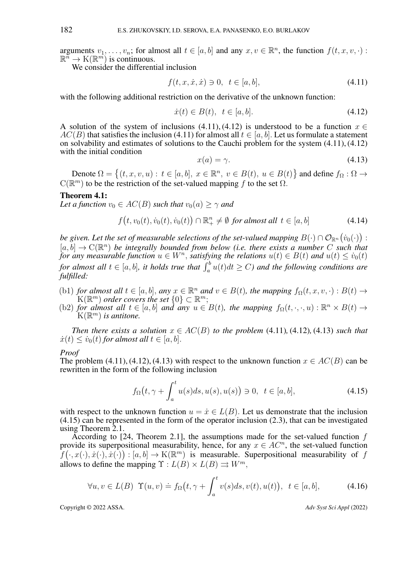arguments  $v_1, \ldots, v_n$ ; for almost all  $t \in [a, b]$  and any  $x, v \in \mathbb{R}^n$ , the function  $f(t, x, v, \cdot)$ :  $\mathbb{R}^n \to \mathcal{K}(\mathbb{R}^m)$  is continuous.

We consider the differential inclusion

<span id="page-6-0"></span>
$$
f(t, x, \dot{x}, \dot{x}) \ni 0, \ \ t \in [a, b], \tag{4.11}
$$

with the following additional restriction on the derivative of the unknown function:

<span id="page-6-1"></span>
$$
\dot{x}(t) \in B(t), \quad t \in [a, b]. \tag{4.12}
$$

A solution of the system of inclusions [\(4.11\)](#page-6-0), [\(4.12\)](#page-6-1) is understood to be a function  $x \in$  $AC(B)$  that satisfies the inclusion [\(4.11\)](#page-6-0) for almost all  $t \in [a, b]$ . Let us formulate a statement on solvability and estimates of solutions to the Cauchi problem for the system [\(4.11\)](#page-6-0), [\(4.12\)](#page-6-1) with the initial condition

<span id="page-6-2"></span>
$$
x(a) = \gamma. \tag{4.13}
$$

Denote  $\Omega = \{(t, x, v, u) : t \in [a, b], x \in \mathbb{R}^n, v \in B(t), u \in B(t)\}\$  and define  $f_{\Omega}: \Omega \to$  $C(\mathbb{R}^m)$  to be the restriction of the set-valued mapping f to the set  $\Omega$ .

#### <span id="page-6-5"></span>Theorem 4.1:

*Let a function*  $v_0 \in AC(B)$  *such that*  $v_0(a) > \gamma$  *and* 

<span id="page-6-6"></span>
$$
f(t, v_0(t), \dot{v}_0(t), \dot{v}_0(t)) \cap \mathbb{R}^n_+ \neq \emptyset \text{ for almost all } t \in [a, b]
$$
\n
$$
(4.14)
$$

be given. Let the set of measurable selections of the set-valued mapping  $B(\cdot) \cap \mathcal{O}_{\mathbb{R}^n} \big(\dot{v}_0(\cdot)\big)$  :  $[a, b] \to \mathbb{C}(\mathbb{R}^n)$  be integrally bounded from below (i.e. there exists a number C such that *for any measurable function*  $u \in W^n$ , *satisfying the relations*  $u(t) \in B(t)$  *and*  $u(t) \le v_0(t)$ for almost all  $t \in [a, b]$ , it holds true that  $\int_a^b u(t)dt \ge C$ ) and the following conditions are *fulfilled:*

- (b1) *for almost all*  $t \in [a, b]$ *, any*  $x \in \mathbb{R}^n$  *and*  $v \in B(t)$ *, the mapping*  $f_{\Omega}(t, x, v, \cdot) : B(t) \to$  $\mathcal{K}(\mathbb{R}^m)$  *order covers the set*  $\{0\} \subset \mathbb{R}^m$ ;
- (b2) *for almost all*  $t \in [a, b]$  *and any*  $u \in B(t)$ *, the mapping*  $f_{\Omega}(t, \cdot, \cdot, u) : \mathbb{R}^n \times B(t) \rightarrow$  $K(\mathbb{R}^m)$  is antitone.

*Then there exists a solution*  $x \in AC(B)$  *to the problem* [\(4.11\)](#page-6-0)*,* (4.12*),* (4.13*) such that*  $\dot{x}(t) \leq \dot{v}_0(t)$  for almost all  $t \in [a, b]$ .

#### *Proof*

The problem [\(4.11\)](#page-6-0), [\(4.12\)](#page-6-1), [\(4.13\)](#page-6-2) with respect to the unknown function  $x \in AC(B)$  can be rewritten in the form of the following inclusion

<span id="page-6-3"></span>
$$
f_{\Omega}(t, \gamma + \int_{a}^{t} u(s)ds, u(s), u(s)) \ni 0, \ t \in [a, b], \tag{4.15}
$$

with respect to the unknown function  $u = \dot{x} \in L(B)$ . Let us demonstrate that the inclusion [\(4.15\)](#page-6-3) can be represented in the form of the operator inclusion [\(2.3\)](#page-2-1), that can be investigated using Theorem [2.1.](#page-2-2)

According to [\[24,](#page-15-0) Theorem 2.1], the assumptions made for the set-valued function f provide its superpositional measurability, hence, for any  $x \in AC^n$ , the set-valued function  $f(\cdot, x(\cdot), \dot{x}(\cdot), \dot{x}(\cdot)) : [a, b] \to K(\mathbb{R}^m)$  is measurable. Superpositional measurability of f allows to define the mapping  $\Upsilon : L(B) \times L(B) \rightrightarrows W^m$ ,

<span id="page-6-4"></span>
$$
\forall u, v \in L(B) \ \Upsilon(u, v) \doteq f_{\Omega}\big(t, \gamma + \int_{a}^{t} v(s)ds, v(t), u(t)\big), \ t \in [a, b], \tag{4.16}
$$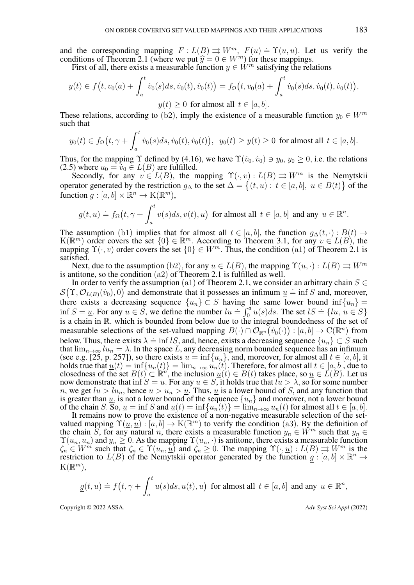and the corresponding mapping  $F: L(B) \rightrightarrows W^m$ ,  $F(u) = \Upsilon(u, u)$ . Let us verify the conditions of Theorem [2.1](#page-2-2) (where we put  $\hat{y} = 0 \in W^m$ ) for these mappings.<br>First of all, there exists a measurable function  $y \in W^m$  satisfying the relation

First of all, there exists a measurable function  $y \in W^m$  satisfying the relations

$$
y(t) \in f(t, v_0(a) + \int_a^t \dot{v}_0(s)ds, \dot{v}_0(t), \dot{v}_0(t)) = f_\Omega(t, v_0(a) + \int_a^t \dot{v}_0(s)ds, \dot{v}_0(t), \dot{v}_0(t)),
$$
  

$$
y(t) \ge 0 \text{ for almost all } t \in [a, b].
$$

These relations, according to (b2), imply the existence of a measurable function  $y_0 \in W^m$ such that

$$
y_0(t) \in f_{\Omega}(t, \gamma + \int_a^t \dot{v}_0(s)ds, \dot{v}_0(t), \dot{v}_0(t)), y_0(t) \ge y(t) \ge 0
$$
 for almost all  $t \in [a, b]$ .

Thus, for the mapping  $\Upsilon$  defined by [\(4.16\)](#page-6-4), we have  $\Upsilon(v_0, v_0) \ni y_0, y_0 \ge 0$ , i.e. the relations [\(2.5\)](#page-2-4) where  $u_0 = v_0 \in L(B)$  are fulfilled.

Secondly, for any  $v \in L(B)$ , the mapping  $\Upsilon(\cdot, v) : L(B) \implies W^m$  is the Nemytskii operator generated by the restriction  $g_{\Delta}$  to the set  $\Delta = \{(t, u): t \in [a, b], u \in B(t)\}\$  of the function  $g: [a, b] \times \mathbb{R}^n \to K(\mathbb{R}^m)$ ,

$$
g(t, u) \doteq f_{\Omega}\left(t, \gamma + \int_{a}^{t} v(s)ds, v(t), u\right) \text{ for almost all } t \in [a, b] \text{ and any } u \in \mathbb{R}^{n}.
$$

The assumption (b1) implies that for almost all  $t \in [a, b]$ , the function  $g_{\Delta}(t, \cdot) : B(t) \rightarrow$  $K(\mathbb{R}^m)$  order covers the set  $\{0\} \in \mathbb{R}^m$ . According to Theorem [3.1,](#page-4-0) for any  $v \in L(B)$ , the mapping  $\Upsilon(\cdot, v)$  order covers the set  $\{0\} \in W^m$ . Thus, the condition (a1) of Theorem [2.1](#page-2-2) is satisfied.

Next, due to the assumption (b2), for any  $u \in L(B)$ , the mapping  $\Upsilon(u, \cdot) : L(B) \rightrightarrows W^m$ is antitone, so the condition  $(a2)$  of Theorem [2.1](#page-2-2) is fulfilled as well.

In order to verify the assumption (a1) of Theorem [2.1,](#page-2-2) we consider an arbitrary chain  $S \in$  $S(\Upsilon, \mathcal{O}_{L(B)}(v_0), 0)$  and demonstrate that it possesses an infimum  $\underline{u} = \inf S$  and, moreover, there exists a decreasing sequence  ${u_n} \subset S$  having the same lower bound  $\inf\{u_n\} =$ inter exists a decreasing sequence  $\{u_n\} \subseteq S$  having the same lower bound  $\text{Im}\{u_n\} =$ <br>inf  $S = \underline{u}$ . For any  $u \in S$ , we define the number  $lu = \int_0^a u(s)ds$ . The set  $lS = \{lu, u \in S\}$ is a chain in  $\mathbb{R}$ , which is bounded from below due to the integral boundedness of the set of measurable selections of the set-valued mapping  $B(\cdot) \cap \mathcal{O}_{\mathbb{R}^n}(v_0(\cdot)) : [a, b] \to C(\mathbb{R}^n)$  from below. Thus, there exists  $\lambda = \inf lS$ , and, hence, exists a decreasing sequence  $\{u_n\} \subset S$  such that  $\lim_{n\to\infty}lu_n = \lambda$ . In the space L, any decreasing norm bounded sequence has an infimum (see e.g. [\[25,](#page-15-1) p. 257]), so there exists  $u = \inf\{u_n\}$ , and, moreover, for almost all  $t \in [a, b]$ , it holds true that  $\underline{u}(t) = \inf\{u_n(t)\} = \lim_{n\to\infty} u_n(t)$ . Therefore, for almost all  $t \in [a, b]$ , due to closedness of the set  $B(t) \subset \mathbb{R}^n$ , the inclusion  $\underline{u}(t) \in B(t)$  takes place, so  $\underline{u} \in L(B)$ . Let us now demonstrate that inf  $S = \underline{u}$ . For any  $u \in S$ , it holds true that  $lu > \lambda$ , so for some number *n*, we get  $lu > lu_n$ , hence  $u > u_n > u$ . Thus, <u>u</u> is a lower bound of S, and any function that is greater than  $\underline{u}$ , is not a lower bound of the sequence  $\{u_n\}$  and moreover, not a lower bound of the chain S. So,  $\underline{u} = \inf S$  and  $\underline{u}(t) = \inf \{u_n(t)\} = \lim_{n \to \infty} u_n(t)$  for almost all  $t \in [a, b]$ .

It remains now to prove the existence of a non-negative measurable selection of the setvalued mapping  $\Upsilon(\underline{u}, \underline{u}) : [a, b] \to K(\mathbb{R}^m)$  to verify the condition (a3). By the definition of the chain S, for any natural n, there exists a measurable function  $y_n \in \tilde{W}^m$  such that  $y_n \in$  $\Upsilon(u_n, u_n)$  and  $y_n \geq 0$ . As the mapping  $\Upsilon(u_n, \cdot)$  is antitone, there exists a measurable function  $\zeta_n \in W^m$  such that  $\zeta_n \in \Upsilon(u_n, u)$  and  $\zeta_n \geq 0$ . The mapping  $\Upsilon(\cdot, u) : L(B) \Rightarrow W^m$  is the restriction to  $L(B)$  of the Nemytskii operator generated by the function  $g : [a, b] \times \mathbb{R}^n \rightarrow$  $K(\mathbb{R}^m)$ ,

$$
\underline{g}(t,u)\doteq f\big(t,\gamma+\int_a^t \underline{u}(s)ds,\underline{u}(t),u\big) \ \ \text{for almost all}\ \ t\in [a,b] \ \ \text{and any}\ \ u\in\mathbb{R}^n,
$$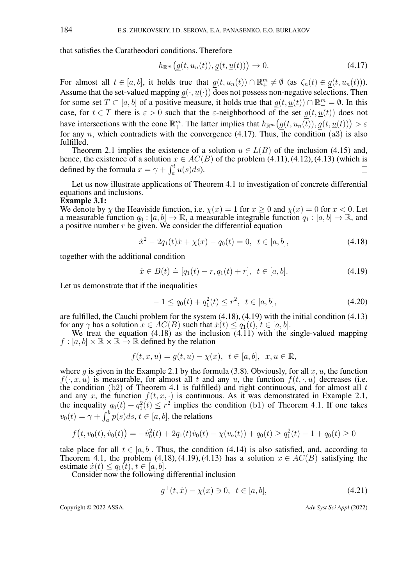that satisfies the Caratheodori conditions. Therefore

<span id="page-8-0"></span>
$$
h_{\mathbb{R}^m}\big(g(t, u_n(t)), g(t, \underline{u}(t))\big) \to 0. \tag{4.17}
$$

For almost all  $t \in [a, b]$ , it holds true that  $\underline{g}(t, u_n(t)) \cap \mathbb{R}^m_+ \neq \emptyset$  (as  $\zeta_n(t) \in \underline{g}(t, u_n(t))$ ). Assume that the set-valued mapping  $g(\cdot, \underline{u}(\cdot))$  does not possess non-negative selections. Then for some set  $T \subset [a, b]$  of a positive measure, it holds true that  $g(t, \underline{u}(t)) \cap \mathbb{R}_{+}^{m} = \emptyset$ . In this case, for  $t \in T$  there is  $\varepsilon > 0$  such that the  $\varepsilon$ -neighborhood of the set  $g(t, u(t))$  does not have intersections with the cone  $\mathbb{R}^m_+$ . The latter implies that  $h_{\mathbb{R}^m}(\underline{g}(t, u_n(\overline{t})), \underline{g}(t, \underline{u}(t))) > \varepsilon$ for any n, which contradicts with the convergence [\(4.17\)](#page-8-0). Thus, the condition (a3) is also fulfilled.

Theorem [2.1](#page-2-2) implies the existence of a solution  $u \in L(B)$  of the inclusion [\(4.15\)](#page-6-3) and, hence, the existence of a solution  $x \in AC(B)$  of the problem [\(4.11\)](#page-6-0), [\(4.12\)](#page-6-1), [\(4.13\)](#page-6-2) (which is defined by the formula  $x = \gamma + \int_a^t u(s) ds$ ). П

Let us now illustrate applications of Theorem [4.1](#page-6-5) to investigation of concrete differential equations and inclusions.

## Example 3.1:

We denote by  $\chi$  the Heaviside function, i.e.  $\chi(x) = 1$  for  $x \ge 0$  and  $\chi(x) = 0$  for  $x < 0$ . Let a measurable function  $q_0 : [a, b] \to \mathbb{R}$ , a measurable integrable function  $q_1 : [a, b] \to \mathbb{R}$ , and a positive number  $r$  be given. We consider the differential equation

<span id="page-8-1"></span>
$$
\dot{x}^2 - 2q_1(t)\dot{x} + \chi(x) - q_0(t) = 0, \ \ t \in [a, b], \tag{4.18}
$$

together with the additional condition

<span id="page-8-2"></span>
$$
\dot{x} \in B(t) \doteq [q_1(t) - r, q_1(t) + r], \ \ t \in [a, b]. \tag{4.19}
$$

Let us demonstrate that if the inequalities

<span id="page-8-4"></span>
$$
-1 \le q_0(t) + q_1^2(t) \le r^2, \ t \in [a, b], \tag{4.20}
$$

are fulfilled, the Cauchi problem for the system [\(4.18\)](#page-8-1), [\(4.19\)](#page-8-2) with the initial condition [\(4.13\)](#page-6-2) for any  $\gamma$  has a solution  $x \in AC(B)$  such that  $\dot{x}(t) \leq q_1(t), t \in [a, b]$ .

We treat the equation  $(4.18)$  as the inclusion  $(4.11)$  with the single-valued mapping  $f : [a, b] \times \mathbb{R} \times \mathbb{R} \rightarrow \mathbb{R}$  defined by the relation

$$
f(t,x,u)=g(t,u)-\chi(x),\;\;t\in[a,b],\;\;x,u\in\mathbb{R},
$$

where g is given in the Example 2.1 by the formula [\(3.8\)](#page-5-1). Obviously, for all  $x, u$ , the function  $f(\cdot, x, u)$  is measurable, for almost all t and any u, the function  $f(t, \cdot, u)$  decreases (i.e. the condition (b2) of Theorem [4.1](#page-6-5) is fulfilled) and right continuous, and for almost all  $t$ and any x, the function  $f(t, x, \cdot)$  is continuous. As it was demonstrated in Example 2.1, the inequality  $q_0(t) + q_1^2(t) \le r^2$  implies the condition (b1) of Theorem [4.1.](#page-6-5) If one takes  $v_0(t) = \gamma + \int_a^b p(s)ds, t \in [a, b]$ , the relations

$$
f(t, v_0(t), \dot{v}_0(t)) = -\dot{v}_0^2(t) + 2q_1(t)\dot{v}_0(t) - \chi(v_0(t)) + q_0(t) \ge q_1^2(t) - 1 + q_0(t) \ge 0
$$

take place for all  $t \in [a, b]$ . Thus, the condition [\(4.14\)](#page-6-6) is also satisfied, and, according to Theorem [4.1,](#page-6-5) the problem [\(4.18\)](#page-8-1), [\(4.19\)](#page-8-2), [\(4.13\)](#page-6-2) has a solution  $x \in AC(B)$  satisfying the estimate  $\dot{x}(t) \leq q_1(t), t \in [a, b]$ .

Consider now the following differential inclusion

<span id="page-8-3"></span>
$$
g^+(t, \dot{x}) - \chi(x) \ni 0, \ t \in [a, b], \tag{4.21}
$$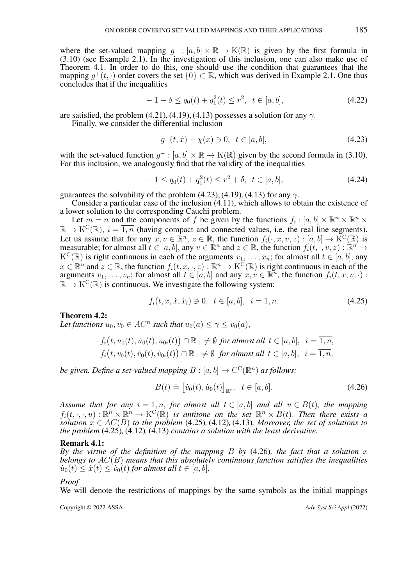where the set-valued mapping  $g^+ : [a, b] \times \mathbb{R} \to K(\mathbb{R})$  is given by the first formula in [\(3.10\)](#page-5-2) (see Example 2.1). In the investigation of this inclusion, one can also make use of Theorem [4.1.](#page-6-5) In order to do this, one should use the condition that guarantees that the mapping  $g^+(t, \cdot)$  order covers the set  $\{0\} \subset \mathbb{R}$ , which was derived in Example 2.1. One thus concludes that if the inequalities

<span id="page-9-4"></span>
$$
-1 - \delta \le q_0(t) + q_1^2(t) \le r^2, \ t \in [a, b], \tag{4.22}
$$

are satisfied, the problem [\(4.21\)](#page-8-3), [\(4.19\)](#page-8-2), [\(4.13\)](#page-6-2) possesses a solution for any  $\gamma$ .

Finally, we consider the differential inclusion

<span id="page-9-0"></span>
$$
g^-(t, \dot{x}) - \chi(x) \ni 0, \ t \in [a, b], \tag{4.23}
$$

with the set-valued function  $g^- : [a, b] \times \mathbb{R} \to K(\mathbb{R})$  given by the second formula in [\(3.10\)](#page-5-2). For this inclusion, we analogously find that the validity of the inequalities

<span id="page-9-5"></span>
$$
-1 \le q_0(t) + q_1^2(t) \le r^2 + \delta, \ t \in [a, b], \tag{4.24}
$$

guarantees the solvability of the problem [\(4.23\)](#page-9-0), [\(4.19\)](#page-8-2), [\(4.13\)](#page-6-2) for any  $\gamma$ .

Consider a particular case of the inclusion [\(4.11\)](#page-6-0), which allows to obtain the existence of a lower solution to the corresponding Cauchi problem.

Let  $m = n$  and the components of f be given by the functions  $f_i : [a, b] \times \mathbb{R}^n \times \mathbb{R}^n \times$  $\mathbb{R} \to K^C(\mathbb{R})$ ,  $i = \overline{1,n}$  (having compact and connected values, i.e. the real line segments). Let us assume that for any  $x, v \in \mathbb{R}^n$ ,  $z \in \mathbb{R}$ , the function  $f_i(\cdot, x, v, z) : [a, b] \to \mathrm{K}^{\mathrm{C}}(\mathbb{R})$  is measurable; for almost all  $t \in [a, b]$ , any  $v \in \mathbb{R}^n$  and  $z \in \mathbb{R}$ , the function  $f_i(t, \cdot, v, z) : \mathbb{R}^n \to$  $K^C(\mathbb{R})$  is right continuous in each of the arguments  $x_1, \ldots, x_n$ ; for almost all  $t \in [a, b]$ , any  $x \in \mathbb{R}^n$  and  $z \in \mathbb{R}$ , the function  $f_i(t, x, \cdot, z)$ :  $\mathbb{R}^n \to K^C(\mathbb{R})$  is right continuous in each of the arguments  $v_1, \ldots, v_n$ ; for almost all  $t \in [a, b]$  and any  $x, v \in \mathbb{R}^n$ , the function  $f_i(t, x, v, \cdot)$ :  $\mathbb{R} \to K^C(\mathbb{R})$  is continuous. We investigate the following system:

<span id="page-9-1"></span>
$$
f_i(t, x, \dot{x}, \dot{x}_i) \ni 0, \ \ t \in [a, b], \ \ i = \overline{1, n}. \tag{4.25}
$$

## <span id="page-9-3"></span>Theorem 4.2:

Let functions  $u_0, v_0 \in AC^n$  such that  $u_0(a) \leq \gamma \leq v_0(a)$ ,

$$
-f_i(t, u_0(t), \dot{u}_0(t), \dot{u}_0(t)) \cap \mathbb{R}_+ \neq \emptyset \text{ for almost all } t \in [a, b], i = \overline{1, n},
$$
  

$$
f_i(t, v_0(t), \dot{v}_0(t), \dot{v}_0(t)) \cap \mathbb{R}_+ \neq \emptyset \text{ for almost all } t \in [a, b], i = \overline{1, n},
$$

*be given. Define a set-valued mapping*  $B : [a, b] \rightarrow \mathrm{C}^{\mathrm{C}}(\mathbb{R}^n)$  *as follows:* 

<span id="page-9-2"></span>
$$
B(t) \doteq [v_0(t), \dot{u}_0(t)]_{\mathbb{R}^n}, \ \ t \in [a, b]. \tag{4.26}
$$

*Assume that for any*  $i = \overline{1, n}$ , *for almost all*  $t \in [a, b]$  *and all*  $u \in B(t)$ *, the mapping*  $f_i(t,\cdot,\cdot,u): \mathbb{R}^n \times \mathbb{R}^n \to \mathrm{K}^{\mathrm{C}}(\mathbb{R})$  is antitone on the set  $\mathbb{R}^n \times B(t)$ . Then there exists a  $solution \ x \in AC(B)$  *to the problem* [\(4.25\)](#page-9-1)*,* [\(4.12\)](#page-6-1)*,* (4.13*). Moreover, the set of solutions to the problem* [\(4.25\)](#page-9-1)*,* [\(4.12\)](#page-6-1)*,* [\(4.13\)](#page-6-2) *contains a solution with the least derivative.*

#### Remark 4.1:

*By the virtue of the definition of the mapping* B *by* [\(4.26\)](#page-9-2)*, the fact that a solution* x *belongs to* AC(B) *means that this absolutely continuous function satisfies the inequalities*  $\dot{u}_0(t) \leq \dot{x}(t) \leq \dot{v}_0(t)$  *for almost all*  $t \in [a, b]$ *.* 

#### *Proof*

We will denote the restrictions of mappings by the same symbols as the initial mappings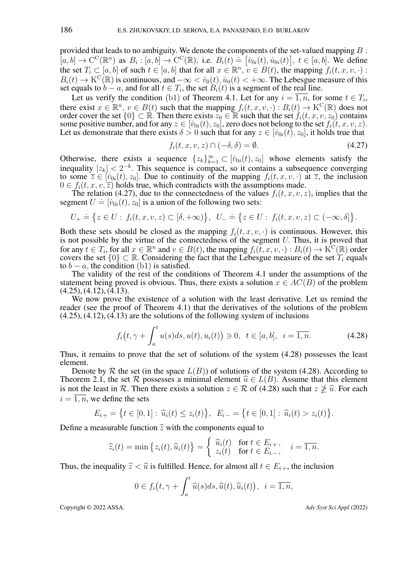provided that leads to no ambiguity. We denote the components of the set-valued mapping  $B$ :  $[a, b] \to \mathcal{C}^{\mathcal{C}}(\mathbb{R}^n)$  as  $B_i : [a, b] \to \mathcal{C}^{\mathcal{C}}(\mathbb{R})$ , i.e.  $B_i(t) \doteq [v_{0i}(t), u_{0i}(t)], t \in [a, b]$ . We define the set  $T_i \subset [a, b]$  of such  $t \in [a, b]$  that for all  $x \in \mathbb{R}^n$ ,  $v \in B(t)$ , the mapping  $f_i(t, x, v, \cdot)$ :  $B_i(t) \to K^C(\mathbb{R})$  is continuous, and  $-\infty < v_0(t)$ ,  $\dot{u}_0(t) < +\infty$ . The Lebesgue measure of this set equals to  $b - a$ , and for all  $t \in T_i$ , the set  $B_i(t)$  is a segment of the real line.

Let us verify the condition (b1) of Theorem [4.1.](#page-6-5) Let for any  $i = \overline{1, n}$ , for some  $t \in T_i$ , there exist  $x \in \mathbb{R}^n$ ,  $v \in B(t)$  such that the mapping  $f_i(t, x, v, \cdot) : B_i(t) \to K^C(\mathbb{R})$  does not order cover the set  $\{0\} \subset \mathbb{R}$ . Then there exists  $z_0 \in \mathbb{R}$  such that the set  $f_i(t, x, v, z_0)$  contains some positive number, and for any  $z \in [i_{0i}(t), z_0]$ , zero does not belong to the set  $f_i(t, x, v, z)$ . Let us demonstrate that there exists  $\delta > 0$  such that for any  $z \in [v_{0i}(t), z_0]$ , it holds true that

<span id="page-10-0"></span>
$$
f_i(t, x, v, z) \cap (-\delta, \delta) = \emptyset.
$$
\n(4.27)

Otherwise, there exists a sequence  $\{z_k\}_{k=1}^{\infty} \subset [v_{0i}(t), z_0]$  whose elements satisfy the inequality  $|z_k| < 2^{-k}$ . This sequence is compact, so it contains a subsequence converging to some  $\overline{z} \in [v_{0i}(t), z_0]$ . Due to continuity of the mapping  $f_i(t, x, v, \cdot)$  at  $\overline{z}$ , the inclusion  $0 \in f_i(t, x, v, \overline{z})$  holds true, which contradicts with the assumptions made.

The relation [\(4.27\)](#page-10-0), due to the connectedness of the values  $f_i(t, x, v, z)$ , implies that the segment  $U = [v_{0i}(t), z_0]$  is a union of the following two sets:

$$
U_+ \doteq \big\{ z \in U: f_i(t, x, v, z) \subset [\delta, +\infty) \big\}, \ \ U_- \doteq \big\{ z \in U: f_i(t, x, v, z) \subset (-\infty, \delta] \big\}.
$$

Both these sets should be closed as the mapping  $f_i(t, x, v, \cdot)$  is continuous. However, this is not possible by the virtue of the connectedness of the segment U. Thus, it is proved that for any  $t \in T_i$ , for all  $x \in \mathbb{R}^n$  and  $v \in B(t)$ , the mapping  $f_i(\breve{t}, x, v, \cdot) : B_i(t) \to \breve{K}^C(\mathbb{R})$  order covers the set  $\{0\} \subset \mathbb{R}$ . Considering the fact that the Lebesgue measure of the set  $T_i$  equals to  $b - a$ , the condition (b1) is satisfied.

The validity of the rest of the conditions of Theorem [4.1](#page-6-5) under the assumptions of the statement being proved is obvious. Thus, there exists a solution  $x \in AC(B)$  of the problem  $(4.25), (4.12), (4.13).$  $(4.25), (4.12), (4.13).$  $(4.25), (4.12), (4.13).$  $(4.25), (4.12), (4.13).$  $(4.25), (4.12), (4.13).$  $(4.25), (4.12), (4.13).$ 

We now prove the existence of a solution with the least derivative. Let us remind the reader (see the proof of Theorem [4.1\)](#page-6-5) that the derivatives of the solutions of the problem  $(4.25), (4.12), (4.13)$  $(4.25), (4.12), (4.13)$  $(4.25), (4.12), (4.13)$  $(4.25), (4.12), (4.13)$  $(4.25), (4.12), (4.13)$  are the solutions of the following system of inclusions

<span id="page-10-1"></span>
$$
f_i(t, \gamma + \int_a^t u(s)ds, u(t), u_i(t)) \ni 0, \ t \in [a, b], \ i = \overline{1, n}.
$$
 (4.28)

Thus, it remains to prove that the set of solutions of the system [\(4.28\)](#page-10-1) possesses the least element.

Denote by R the set (in the space  $L(B)$ ) of solutions of the system [\(4.28\)](#page-10-1). According to Theorem [2.1,](#page-2-2) the set R possesses a minimal element  $\hat{u} \in L(B)$ . Assume that this element is not the least in R. Then there exists a solution  $z \in \mathcal{R}$  of [\(4.28\)](#page-10-1) such that  $z \not\geq \hat{u}$ . For each  $i = \overline{1, n}$ , we define the sets

$$
E_{i+} = \left\{ t \in [0,1] : \widehat{u}_i(t) \le z_i(t) \right\}, \ \ E_{i-} = \left\{ t \in [0,1] : \widehat{u}_i(t) > z_i(t) \right\}.
$$

Define a measurable function  $\hat{z}$  with the components equal to

$$
\widehat{z}_i(t) = \min\left\{z_i(t), \widehat{u}_i(t)\right\} = \begin{cases} \widehat{u}_i(t) & \text{for } t \in E_{i+}, \\ z_i(t) & \text{for } t \in E_{i-}, \end{cases} \quad i = \overline{1, n}.
$$

Thus, the inequality  $\hat{z} < \hat{u}$  is fulfilled. Hence, for almost all  $t \in E_{i+}$ , the inclusion

$$
0 \in f_i(t, \gamma + \int_a^t \widehat{u}(s)ds, \widehat{u}(t), \widehat{u}_i(t)), \ \ i = \overline{1, n},
$$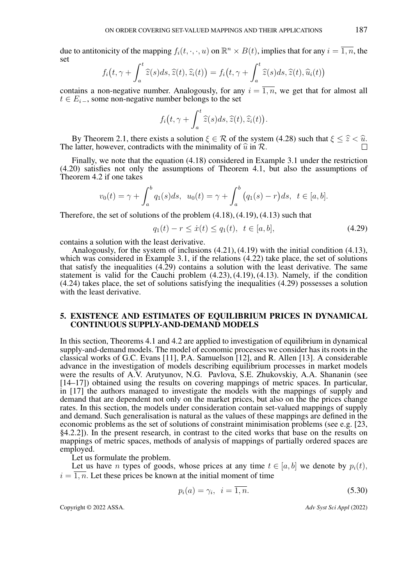due to antitonicity of the mapping  $f_i(t, \cdot, \cdot, u)$  on  $\mathbb{R}^n \times B(t)$ , implies that for any  $i = \overline{1, n}$ , the set

$$
f_i(t, \gamma + \int_a^t \widehat{z}(s)ds, \widehat{z}(t), \widehat{z}_i(t)) = f_i\big(t, \gamma + \int_a^t \widehat{z}(s)ds, \widehat{z}(t), \widehat{u}_i(t)\big)
$$

contains a non-negative number. Analogously, for any  $i = \overline{1, n}$ , we get that for almost all  $t \in E_{i-}$ , some non-negative number belongs to the set

$$
f_i(t, \gamma + \int_a^t \widehat{z}(s)ds, \widehat{z}(t), \widehat{z}_i(t)).
$$

By Theorem [2.1,](#page-2-2) there exists a solution  $\xi \in \mathcal{R}$  of the system [\(4.28\)](#page-10-1) such that  $\xi \leq \hat{z} < \hat{u}$ . The latter, however, contradicts with the minimality of  $\hat{u}$  in  $\hat{\mathcal{R}}$ .

Finally, we note that the equation [\(4.18\)](#page-8-1) considered in Example 3.1 under the restriction [\(4.20\)](#page-8-4) satisfies not only the assumptions of Theorem [4.1,](#page-6-5) but also the assumptions of Theorem [4.2](#page-9-3) if one takes

$$
v_0(t) = \gamma + \int_a^b q_1(s)ds, \ \ u_0(t) = \gamma + \int_a^b (q_1(s) - r)ds, \ \ t \in [a, b].
$$

Therefore, the set of solutions of the problem [\(4.18\)](#page-8-1), [\(4.19\)](#page-8-2), [\(4.13\)](#page-6-2) such that

<span id="page-11-0"></span>
$$
q_1(t) - r \le \dot{x}(t) \le q_1(t), \ \ t \in [a, b], \tag{4.29}
$$

contains a solution with the least derivative.

Analogously, for the system of inclusions [\(4.21\)](#page-8-3), [\(4.19\)](#page-8-2) with the initial condition [\(4.13\)](#page-6-2), which was considered in Example 3.1, if the relations [\(4.22\)](#page-9-4) take place, the set of solutions that satisfy the inequalities [\(4.29\)](#page-11-0) contains a solution with the least derivative. The same statement is valid for the Cauchi problem [\(4.23\)](#page-9-0), [\(4.19\)](#page-8-2), [\(4.13\)](#page-6-2). Namely, if the condition [\(4.24\)](#page-9-5) takes place, the set of solutions satisfying the inequalities [\(4.29\)](#page-11-0) possesses a solution with the least derivative.

# 5. EXISTENCE AND ESTIMATES OF EQUILIBRIUM PRICES IN DYNAMICAL CONTINUOUS SUPPLY-AND-DEMAND MODELS

In this section, Theorems [4.1](#page-6-5) and [4.2](#page-9-3) are applied to investigation of equilibrium in dynamical supply-and-demand models. The model of economic processes we consider has its roots in the classical works of G.C. Evans [\[11\]](#page-14-7), P.A. Samuelson [\[12\]](#page-14-16), and R. Allen [\[13\]](#page-14-8). A considerable advance in the investigation of models describing equilibrium processes in market models were the results of A.V. Arutyunov, N.G. Pavlova, S.E. Zhukovskiy, A.A. Shananin (see [\[14](#page-14-9)[–17\]](#page-14-10)) obtained using the results on covering mappings of metric spaces. In particular, in [\[17\]](#page-14-10) the authors managed to investigate the models with the mappings of supply and demand that are dependent not only on the market prices, but also on the the prices change rates. In this section, the models under consideration contain set-valued mappings of supply and demand. Such generalisation is natural as the values of these mappings are defined in the economic problems as the set of solutions of constraint minimisation problems (see e.g. [\[23,](#page-14-15) §4.2.2]). In the present research, in contrast to the cited works that base on the results on mappings of metric spaces, methods of analysis of mappings of partially ordered spaces are employed.

Let us formulate the problem.

Let us have n types of goods, whose prices at any time  $t \in [a, b]$  we denote by  $p_i(t)$ ,  $i = \overline{1, n}$ . Let these prices be known at the initial moment of time

<span id="page-11-1"></span>
$$
p_i(a) = \gamma_i, \quad i = \overline{1, n}.\tag{5.30}
$$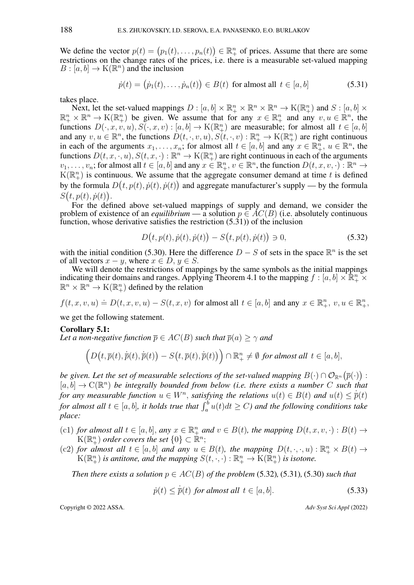We define the vector  $p(t) = (p_1(t), \ldots, p_n(t)) \in \mathbb{R}^n_+$  of prices. Assume that there are some restrictions on the change rates of the prices, i.e. there is a measurable set-valued mapping  $B : [a, b] \to K(\mathbb{R}^n)$  and the inclusion

<span id="page-12-0"></span>
$$
\dot{p}(t) = (\dot{p}_1(t), \dots, \dot{p}_n(t)) \in B(t) \text{ for almost all } t \in [a, b]
$$
\n
$$
(5.31)
$$

takes place.

Next, let the set-valued mappings  $D : [a, b] \times \mathbb{R}_+^n \times \mathbb{R}^n \times \mathbb{R}^n \to K(\mathbb{R}_+^n)$  and  $S : [a, b] \times$  $\mathbb{R}^n_+ \times \mathbb{R}^n \to K(\mathbb{R}^n_+)$  be given. We assume that for any  $x \in \mathbb{R}^n_+$  and any  $v, u \in \mathbb{R}^n$ , the functions  $D(\cdot, x, v, u), S(\cdot, x, v) : [a, b] \to K(\mathbb{R}^n_+)$  are measurable; for almost all  $t \in [a, b]$ and any  $v, u \in \mathbb{R}^n$ , the functions  $D(t, \cdot, v, u), S(t, \cdot, v) : \mathbb{R}^n_+ \to K(\mathbb{R}^n_+)$  are right continuous in each of the arguments  $x_1, \ldots, x_n$ ; for almost all  $t \in [a, b]$  and any  $x \in \mathbb{R}^n_+$ ,  $u \in \mathbb{R}^n$ , the functions  $D(t, x, \cdot, u), S(t, x, \cdot) : \mathbb{R}^n \to K(\mathbb{R}^n_+)$  are right continuous in each of the arguments  $v_1, \ldots, v_n$ ; for almost all  $t \in [a, b]$  and any  $x \in \mathbb{R}^n_+$ ,  $v \in \mathbb{R}^n$ , the function  $D(t, x, v, \cdot)$ :  $\mathbb{R}^n \to$  $K(\mathbb{R}^n_+)$  is continuous. We assume that the aggregate consumer demand at time t is defined by the formula  $D(t, p(t), \dot{p}(t), \dot{p}(t))$  and aggregate manufacturer's supply — by the formula  $S(t, p(t), \dot{p}(t)).$ 

For the defined above set-valued mappings of supply and demand, we consider the problem of existence of an *equilibrium* — a solution  $p \in AC(B)$  (i.e. absolutely continuous function, whose derivative satisfies the restriction [\(5.31\)](#page-12-0)) of the inclusion

<span id="page-12-1"></span>
$$
D(t, p(t), \dot{p}(t), \dot{p}(t)) - S(t, p(t), \dot{p}(t)) \ni 0,
$$
\n(5.32)

with the initial condition [\(5.30\)](#page-11-1). Here the difference  $D - S$  of sets in the space  $\mathbb{R}^n$  is the set of all vectors  $x - y$ , where  $x \in D$ ,  $y \in S$ .

We will denote the restrictions of mappings by the same symbols as the initial mappings indicating their domains and ranges. Applying Theorem [4.1](#page-6-5) to the mapping  $f : [a, b] \times \mathbb{R}^n_+ \times$  $\mathbb{R}^n \times \mathbb{R}^n \to K(\mathbb{R}^n_+)$  defined by the relation

$$
f(t, x, v, u) \doteq D(t, x, v, u) - S(t, x, v) \text{ for almost all } t \in [a, b] \text{ and any } x \in \mathbb{R}_+^n, v, u \in \mathbb{R}_+^n,
$$

we get the following statement.

#### <span id="page-12-2"></span>Corollary 5.1:

*Let a non-negative function*  $\overline{p} \in AC(B)$  *such that*  $\overline{p}(a) \ge \gamma$  *and* 

$$
\left(D\big(t,\overline{p}(t),\dot{\overline{p}}(t),\dot{\overline{p}}(t)\big)-S\big(t,\overline{p}(t),\dot{\overline{p}}(t)\big)\right)\cap\mathbb{R}^n_+\neq\emptyset\ \text{for almost all }t\in[a,b],
$$

be given. Let the set of measurable selections of the set-valued mapping  $B(\cdot) \cap \mathcal{O}_{\mathbb{R}^n}(\overline{p}(\cdot))$  :  $[a, b] \to \mathbb{C}(\mathbb{R}^n)$  be integrally bounded from below (i.e. there exists a number C such that *for any measurable function*  $u \in W^n$ , *satisfying the relations*  $u(t) \in B(t)$  *and*  $u(t) \leq \dot{p}(t)$ for almost all  $t \in [a, b]$ , it holds true that  $\int_a^b u(t)dt \ge C$ ) and the following conditions take *place:*

- (c1) *for almost all*  $t \in [a, b]$ *, any*  $x \in \mathbb{R}_+^n$  *and*  $v \in B(t)$ *, the mapping*  $D(t, x, v, \cdot) : B(t) \to$  $\mathcal{K}(\mathbb{R}^n_+)$  order covers the set  $\{0\}\subset\mathbb{R}^n;$
- (c2) for almost all  $t \in [a, b]$  and any  $u \in B(t)$ , the mapping  $D(t, \cdot, \cdot, u): \mathbb{R}^n_+ \times B(t) \to$  $K(\mathbb{R}^n_+)$  *is antitone, and the mapping*  $S(t, \cdot, \cdot) : \mathbb{R}^n_+ \to K(\mathbb{R}^n_+)$  *is isotone.*

*Then there exists a solution*  $p \in AC(B)$  *of the problem* [\(5.32\)](#page-12-1)*,* (5.31*),* (5.30*) such that* 

<span id="page-12-3"></span>
$$
\dot{p}(t) \le \dot{\overline{p}}(t) \text{ for almost all } t \in [a, b]. \tag{5.33}
$$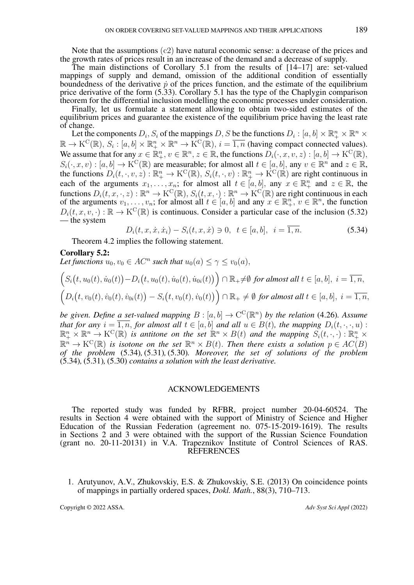Note that the assumptions (c2) have natural economic sense: a decrease of the prices and the growth rates of prices result in an increase of the demand and a decrease of supply.

The main distinctions of Corollary [5.1](#page-12-2) from the results of  $[14–17]$  $[14–17]$  are: set-valued mappings of supply and demand, omission of the additional condition of essentially boundedness of the derivative  $\dot{p}$  of the prices function, and the estimate of the equilibrium price derivative of the form [\(5.33\)](#page-12-3). Corollary [5.1](#page-12-2) has the type of the Chaplygin comparison theorem for the differential inclusion modelling the economic processes under consideration.

Finally, let us formulate a statement allowing to obtain two-sided estimates of the equilibrium prices and guarantee the existence of the equilibrium price having the least rate of change.

Let the components  $D_i$ ,  $S_i$  of the mappings D, S be the functions  $D_i : [a, b] \times \mathbb{R}_+^n \times \mathbb{R}^n \times$  $\mathbb{R} \to K^C(\mathbb{R})$ ,  $S_i : [a, b] \times \mathbb{R}_+^n \times \mathbb{R}^n \to K^C(\mathbb{R})$ ,  $i = \overline{1, n}$  (having compact connected values). We assume that for any  $x \in \mathbb{R}^n_+$ ,  $v \in \mathbb{R}^n$ ,  $z \in \mathbb{R}$ , the functions  $D_i(\cdot, x, v, z) : [a, b] \to \mathrm{K}^{\mathrm{C}}(\mathbb{R})$ ,  $S_i(\cdot, x, v) : [a, b] \to \mathrm{K}^{\mathrm{C}}(\mathbb{R})$  are measurable; for almost all  $t \in [a, b]$ , any  $v \in \mathbb{R}^n$  and  $z \in \mathbb{R}$ , the functions  $D_i(t, \cdot, v, z) : \mathbb{R}^n_+ \to K^C(\mathbb{R}), S_i(t, \cdot, v) : \mathbb{R}^n_+ \to K^C(\mathbb{R})$  are right continuous in each of the arguments  $x_1, \ldots, x_n$ ; for almost all  $t \in [a, b]$ , any  $x \in \mathbb{R}^n_+$  and  $z \in \mathbb{R}$ , the functions  $D_i(t, x, \cdot, z): \mathbb{R}^n \to \mathrm{K}^\mathrm{C}(\mathbb{R}), S_i(t, x, \cdot): \mathbb{R}^n \to \mathrm{K}^\mathrm{C}(\mathbb{R})$  are right continuous in each of the arguments  $v_1, \ldots, v_n$ ; for almost all  $t \in [a, b]$  and any  $x \in \mathbb{R}_+^n$ ,  $v \in \mathbb{R}^n$ , the function  $D_i(t, x, v, \cdot) : \mathbb{R} \to K^C(\mathbb{R})$  is continuous. Consider a particular case of the inclusion [\(5.32\)](#page-12-1) — the system

<span id="page-13-2"></span>
$$
D_i(t, x, \dot{x}, \dot{x}_i) - S_i(t, x, \dot{x}) \ni 0, \ t \in [a, b], \ i = \overline{1, n}.
$$
 (5.34)

Theorem [4.2](#page-9-3) implies the following statement.

## <span id="page-13-0"></span>Corollary 5.2:

Let functions  $u_0, v_0 \in AC^n$  such that  $u_0(a) \leq \gamma \leq v_0(a)$ ,

$$
\left(S_i\big(t, u_0(t), \dot{u}_0(t)\big) - D_i\big(t, u_0(t), \dot{u}_0(t), \dot{u}_0(t)\big)\right) \cap \mathbb{R}_+ \neq \emptyset \text{ for almost all } t \in [a, b], i = \overline{1, n},
$$
  

$$
\left(D_i\big(t, v_0(t), \dot{v}_0(t), \dot{v}_0(t)\big) - S_i\big(t, v_0(t), \dot{v}_0(t)\big)\right) \cap \mathbb{R}_+ \neq \emptyset \text{ for almost all } t \in [a, b], i = \overline{1, n},
$$

*be given. Define a set-valued mapping*  $B : [a, b] \to \mathbb{C}^{\mathbb{C}}(\mathbb{R}^n)$  *by the relation* [\(4.26\)](#page-9-2)*. Assume that for any*  $i = \overline{1, n}$ *, for almost all*  $t \in [a, b]$  *and all*  $u \in B(t)$ *, the mapping*  $D_i(t, \cdot, \cdot, u)$ :  $\mathbb{R}^n_+ \times \mathbb{R}^n \to K^C(\mathbb{R})$  is antitone on the set  $\mathbb{R}^n \times B(t)$  and the mapping  $S_i(t, \cdot, \cdot) : \mathbb{R}^n_+ \times$  $\mathbb{R}^n \to \mathrm{K}^{\mathrm{C}}(\mathbb{R})$  is isotone on the set  $\mathbb{R}^n \times B(t)$ . Then there exists a solution  $p \in AC(B)$ *of the problem* [\(5.34\)](#page-13-2)*,* [\(5.31\)](#page-12-0)*,* [\(5.30\)](#page-11-1)*. Moreover, the set of solutions of the problem* [\(5.34\)](#page-13-2)*,* [\(5.31\)](#page-12-0)*,* [\(5.30\)](#page-11-1) *contains a solution with the least derivative.*

#### ACKNOWLEDGEMENTS

The reported study was funded by RFBR, project number 20-04-60524. The results in Section 4 were obtained with the support of Ministry of Science and Higher Education of the Russian Federation (agreement no. 075-15-2019-1619). The results in Sections 2 and 3 were obtained with the support of the Russian Science Foundation (grant no. 20-11-20131) in V.A. Trapeznikov Institute of Control Sciences of RAS. REFERENCES

<span id="page-13-1"></span>1. Arutyunov, A.V., Zhukovskiy, E.S. & Zhukovskiy, S.E. (2013) On coincidence points of mappings in partially ordered spaces, *Dokl. Math.*, 88(3), 710–713.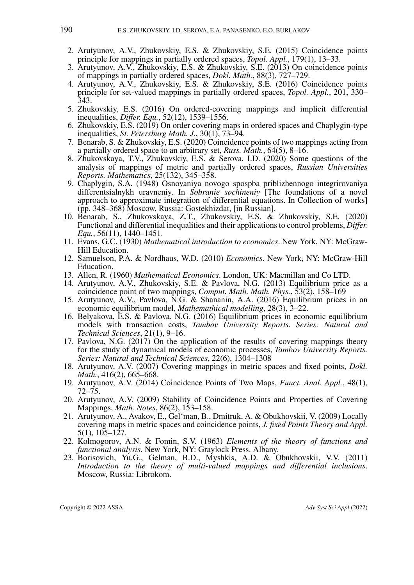- <span id="page-14-0"></span>2. Arutyunov, A.V., Zhukovskiy, E.S. & Zhukovskiy, S.E. (2015) Coincidence points principle for mappings in partially ordered spaces, *Topol. Appl.*, 179(1), 13–33.
- <span id="page-14-1"></span>3. Arutyunov, A.V., Zhukovskiy, E.S. & Zhukovskiy, S.E. (2013) On coincidence points of mappings in partially ordered spaces, *Dokl. Math.*, 88(3), 727–729.
- <span id="page-14-2"></span>4. Arutyunov, A.V., Zhukovskiy, E.S. & Zhukovskiy, S.E. (2016) Coincidence points principle for set-valued mappings in partially ordered spaces, *Topol. Appl.*, 201, 330– 343.
- <span id="page-14-3"></span>5. Zhukovskiy, E.S. (2016) On ordered-covering mappings and implicit differential inequalities, *Differ. Equ.*, 52(12), 1539–1556.
- <span id="page-14-14"></span>6. Zhukovskiy, E.S. (2019) On order covering maps in ordered spaces and Chaplygin-type inequalities, *St. Petersburg Math. J.*, 30(1), 73–94.
- 7. Benarab, S. & Zhukovskiy, E.S. (2020) Coincidence points of two mappings acting from a partially ordered space to an arbitrary set, *Russ. Math.*, 64(5), 8–16.
- <span id="page-14-4"></span>8. Zhukovskaya, T.V., Zhukovskiy, E.S. & Serova, I.D. (2020) Some questions of the analysis of mappings of metric and partially ordered spaces, *Russian Universities Reports. Mathematics*, 25(132), 345–358.
- <span id="page-14-5"></span>9. Chaplygin, S.A. (1948) Osnovaniya novogo spospba priblizhennogo integrirovaniya differentsialnykh uravneniy. In *Sobranie sochineniy* [The foundations of a novel approach to approximate integration of differential equations. In Collection of works] (pp. 348–368) Moscow, Russia: Gostekhizdat, [in Russian].
- <span id="page-14-6"></span>10. Benarab, S., Zhukovskaya, Z.T., Zhukovskiy, E.S. & Zhukovskiy, S.E. (2020) Functional and differential inequalities and their applications to control problems, *Differ. Equ.*, 56(11), 1440–1451.
- <span id="page-14-7"></span>11. Evans, G.C. (1930) *Mathematical introduction to economics*. New York, NY: McGraw-Hill Education.
- <span id="page-14-16"></span>12. Samuelson, P.A. & Nordhaus, W.D. (2010) *Economics*. New York, NY: McGraw-Hill Education.
- <span id="page-14-8"></span>13. Allen, R. (1960) *Mathematical Economics*. London, UK: Macmillan and Co LTD.
- <span id="page-14-9"></span>14. Arutyunov, A.V., Zhukovskiy, S.E. & Pavlova, N.G. (2013) Equilibrium price as a coincidence point of two mappings, *Comput. Math. Math. Phys.*, 53(2), 158–169
- 15. Arutyunov, A.V., Pavlova, N.G. & Shananin, A.A. (2016) Equilibrium prices in an economic equilibrium model, *Mathemathical modelling*, 28(3), 3–22.
- 16. Belyakova, E.S. & Pavlova, N.G. (2016) Equilibrium prices in economic equilibrium models with transaction costs, *Tambov University Reports. Series: Natural and Technical Sciences*, 21(1), 9–16.
- <span id="page-14-10"></span>17. Pavlova, N.G. (2017) On the application of the results of covering mappings theory for the study of dynamical models of economic processes, *Tambov University Reports. Series: Natural and Technical Sciences*, 22(6), 1304–1308
- <span id="page-14-11"></span>18. Arutyunov, A.V. (2007) Covering mappings in metric spaces and fixed points, *Dokl. Math.*, 416(2), 665–668.
- 19. Arutyunov, A.V. (2014) Coincidence Points of Two Maps, *Funct. Anal. Appl.*, 48(1), 72–75.
- 20. Arutyunov, A.V. (2009) Stability of Coincidence Points and Properties of Covering Mappings, *Math. Notes*, 86(2), 153–158.
- <span id="page-14-12"></span>21. Arutyunov, A., Avakov, E., Gel'man, B., Dmitruk, A. & Obukhovskii, V. (2009) Locally covering maps in metric spaces and coincidence points, *J. fixed Points Theory and Appl.* 5(1), 105–127.
- <span id="page-14-13"></span>22. Kolmogorov, A.N. & Fomin, S.V. (1963) *Elements of the theory of functions and functional analysis*. New York, NY: Graylock Press. Albany.
- <span id="page-14-15"></span>23. Borisovich, Yu.G., Gelman, B.D., Myshkis, A.D. & Obukhovskii, V.V. (2011) *Introduction to the theory of multi-valued mappings and differential inclusions*. Moscow, Russia: Librokom.